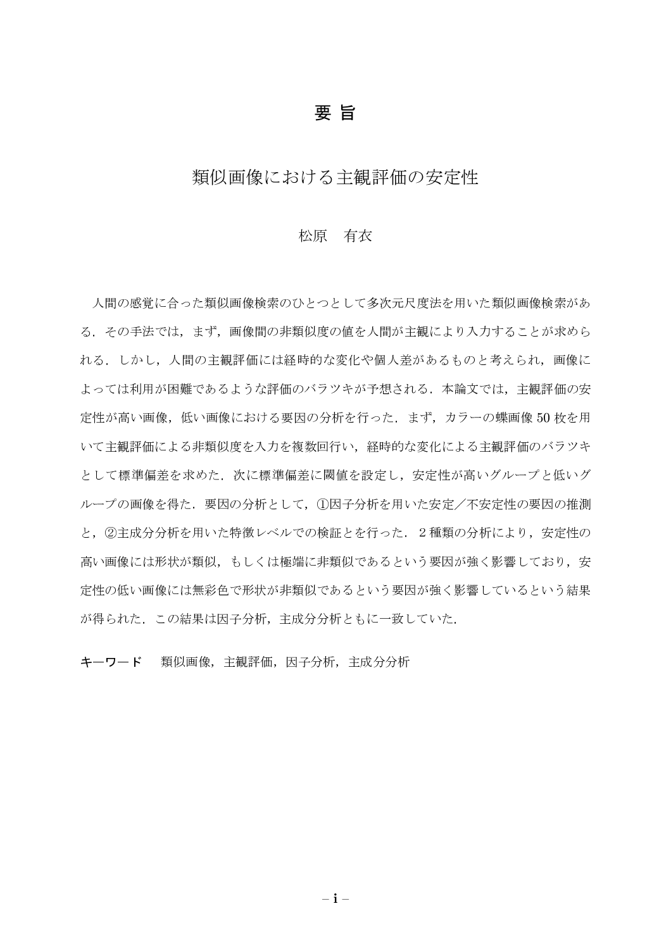### 要旨

## 類似画像における主観評価の安定性

#### 松原 有衣

人間の感覚に合った類似画像検索のひとつとして多次元尺度法を用いた類似画像検索があ る。その手法では、まず、画像間の非類似度の値を人間が主観により入力することが求めら れる.しかし,人間の主観評価には経時的な変化や個人差があるものと考えられ,画像に よっては利用が困難であるような評価のバラツキが予想される、本論文では、主観評価の安 定性が高い画像、低い画像における要因の分析を行った. まず、カラーの蝶画像50枚を用 いて主観評価による非類似度を入力を複数回行い、経時的な変化による主観評価のバラツキ として標準偏差を求めた、次に標準偏差に閾値を設定し、安定性が高いグループと低いグ ループの画像を得た、要因の分析として、①因子分析を用いた安定/不安定性の要因の推測 と、2主成分分析を用いた特徴レベルでの検証とを行った. 2種類の分析により、安定性の 高い画像には形状が類似、もしくは極端に非類似であるという要因が強く影響しており、安 定性の低い画像には無彩色で形状が非類似であるという要因が強く影響しているという結果 が得られた。この結果は因子分析、主成分分析ともに一致していた。

キーワード 類似画像, 主観評価, 因子分析, 主成分分析